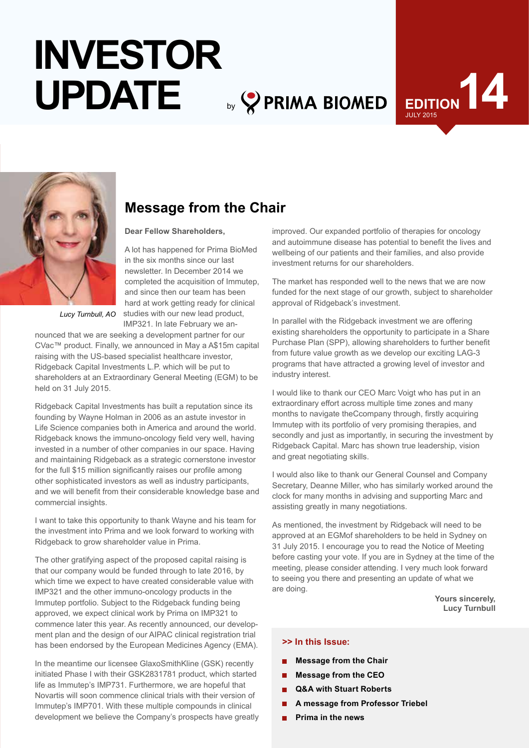# by **PRIMA BIOMED INVESTOR UPDATE**





# **Message from the Chair**

**Dear Fellow Shareholders,**

A lot has happened for Prima BioMed in the six months since our last newsletter. In December 2014 we completed the acquisition of Immutep, and since then our team has been hard at work getting ready for clinical studies with our new lead product, IMP321. In late February we an-

*Lucy Turnbull, AO*

nounced that we are seeking a development partner for our CVac™ product. Finally, we announced in May a A\$15m capital raising with the US-based specialist healthcare investor, Ridgeback Capital Investments L.P. which will be put to shareholders at an Extraordinary General Meeting (EGM) to be held on 31 July 2015.

Ridgeback Capital Investments has built a reputation since its founding by Wayne Holman in 2006 as an astute investor in Life Science companies both in America and around the world. Ridgeback knows the immuno-oncology field very well, having invested in a number of other companies in our space. Having and maintaining Ridgeback as a strategic cornerstone investor for the full \$15 million significantly raises our profile among other sophisticated investors as well as industry participants, and we will benefit from their considerable knowledge base and commercial insights.

I want to take this opportunity to thank Wayne and his team for the investment into Prima and we look forward to working with Ridgeback to grow shareholder value in Prima.

The other gratifying aspect of the proposed capital raising is that our company would be funded through to late 2016, by which time we expect to have created considerable value with IMP321 and the other immuno-oncology products in the Immutep portfolio. Subject to the Ridgeback funding being approved, we expect clinical work by Prima on IMP321 to commence later this year. As recently announced, our development plan and the design of our AIPAC clinical registration trial has been endorsed by the European Medicines Agency (EMA).

In the meantime our licensee GlaxoSmithKline (GSK) recently initiated Phase I with their GSK2831781 product, which started life as Immutep's IMP731. Furthermore, we are hopeful that Novartis will soon commence clinical trials with their version of Immutep's IMP701. With these multiple compounds in clinical development we believe the Company's prospects have greatly

improved. Our expanded portfolio of therapies for oncology and autoimmune disease has potential to benefit the lives and wellbeing of our patients and their families, and also provide investment returns for our shareholders.

The market has responded well to the news that we are now funded for the next stage of our growth, subject to shareholder approval of Ridgeback's investment.

In parallel with the Ridgeback investment we are offering existing shareholders the opportunity to participate in a Share Purchase Plan (SPP), allowing shareholders to further benefit from future value growth as we develop our exciting LAG-3 programs that have attracted a growing level of investor and industry interest.

I would like to thank our CEO Marc Voigt who has put in an extraordinary effort across multiple time zones and many months to navigate theCcompany through, firstly acquiring Immutep with its portfolio of very promising therapies, and secondly and just as importantly, in securing the investment by Ridgeback Capital. Marc has shown true leadership, vision and great negotiating skills.

I would also like to thank our General Counsel and Company Secretary, Deanne Miller, who has similarly worked around the clock for many months in advising and supporting Marc and assisting greatly in many negotiations.

As mentioned, the investment by Ridgeback will need to be approved at an EGMof shareholders to be held in Sydney on 31 July 2015. I encourage you to read the Notice of Meeting before casting your vote. If you are in Sydney at the time of the meeting, please consider attending. I very much look forward to seeing you there and presenting an update of what we are doing.

**Yours sincerely, Lucy Turnbull**

### **>> In this Issue:**

- **Message from the Chair**
- **Message from the CEO**
- **Q&A with Stuart Roberts**
- **A message from Professor Triebel**
- **Prima in the news**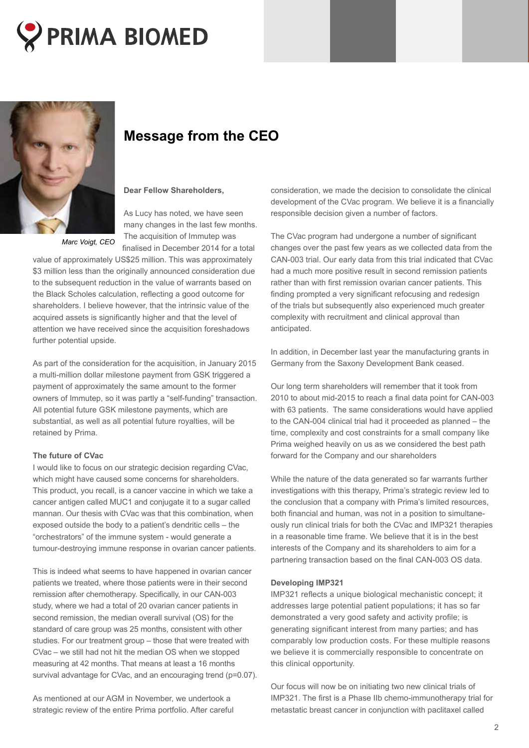



*Marc Voigt, CEO*

# **Message from the CEO**

### **Dear Fellow Shareholders,**

As Lucy has noted, we have seen many changes in the last few months. The acquisition of Immutep was finalised in December 2014 for a total

value of approximately US\$25 million. This was approximately \$3 million less than the originally announced consideration due to the subsequent reduction in the value of warrants based on the Black Scholes calculation, reflecting a good outcome for shareholders. I believe however, that the intrinsic value of the acquired assets is significantly higher and that the level of attention we have received since the acquisition foreshadows further potential upside.

As part of the consideration for the acquisition, in January 2015 a multi-million dollar milestone payment from GSK triggered a payment of approximately the same amount to the former owners of Immutep, so it was partly a "self-funding" transaction. All potential future GSK milestone payments, which are substantial, as well as all potential future royalties, will be retained by Prima.

#### **The future of CVac**

I would like to focus on our strategic decision regarding CVac, which might have caused some concerns for shareholders. This product, you recall, is a cancer vaccine in which we take a cancer antigen called MUC1 and conjugate it to a sugar called mannan. Our thesis with CVac was that this combination, when exposed outside the body to a patient's dendritic cells – the "orchestrators" of the immune system - would generate a tumour-destroying immune response in ovarian cancer patients.

This is indeed what seems to have happened in ovarian cancer patients we treated, where those patients were in their second remission after chemotherapy. Specifically, in our CAN-003 study, where we had a total of 20 ovarian cancer patients in second remission, the median overall survival (OS) for the standard of care group was 25 months, consistent with other studies. For our treatment group – those that were treated with CVac – we still had not hit the median OS when we stopped measuring at 42 months. That means at least a 16 months survival advantage for CVac, and an encouraging trend (p=0.07).

As mentioned at our AGM in November, we undertook a strategic review of the entire Prima portfolio. After careful consideration, we made the decision to consolidate the clinical development of the CVac program. We believe it is a financially responsible decision given a number of factors.

The CVac program had undergone a number of significant changes over the past few years as we collected data from the CAN-003 trial. Our early data from this trial indicated that CVac had a much more positive result in second remission patients rather than with first remission ovarian cancer patients. This finding prompted a very significant refocusing and redesign of the trials but subsequently also experienced much greater complexity with recruitment and clinical approval than anticipated.

In addition, in December last year the manufacturing grants in Germany from the Saxony Development Bank ceased.

Our long term shareholders will remember that it took from 2010 to about mid-2015 to reach a final data point for CAN-003 with 63 patients. The same considerations would have applied to the CAN-004 clinical trial had it proceeded as planned – the time, complexity and cost constraints for a small company like Prima weighed heavily on us as we considered the best path forward for the Company and our shareholders

While the nature of the data generated so far warrants further investigations with this therapy, Prima's strategic review led to the conclusion that a company with Prima's limited resources, both financial and human, was not in a position to simultaneously run clinical trials for both the CVac and IMP321 therapies in a reasonable time frame. We believe that it is in the best interests of the Company and its shareholders to aim for a partnering transaction based on the final CAN-003 OS data.

#### **Developing IMP321**

IMP321 reflects a unique biological mechanistic concept; it addresses large potential patient populations; it has so far demonstrated a very good safety and activity profile; is generating significant interest from many parties; and has comparably low production costs. For these multiple reasons we believe it is commercially responsible to concentrate on this clinical opportunity.

Our focus will now be on initiating two new clinical trials of IMP321. The first is a Phase IIb chemo-immunotherapy trial for metastatic breast cancer in conjunction with paclitaxel called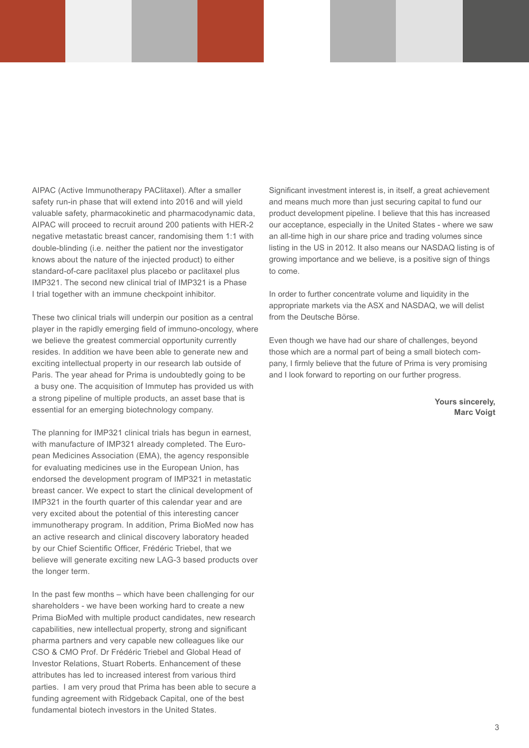AIPAC (Active Immunotherapy PAClitaxel). After a smaller safety run-in phase that will extend into 2016 and will yield valuable safety, pharmacokinetic and pharmacodynamic data, AIPAC will proceed to recruit around 200 patients with HER-2 negative metastatic breast cancer, randomising them 1:1 with double-blinding (i.e. neither the patient nor the investigator knows about the nature of the injected product) to either standard-of-care paclitaxel plus placebo or paclitaxel plus IMP321. The second new clinical trial of IMP321 is a Phase I trial together with an immune checkpoint inhibitor.

These two clinical trials will underpin our position as a central player in the rapidly emerging field of immuno-oncology, where we believe the greatest commercial opportunity currently resides. In addition we have been able to generate new and exciting intellectual property in our research lab outside of Paris. The year ahead for Prima is undoubtedly going to be a busy one. The acquisition of Immutep has provided us with a strong pipeline of multiple products, an asset base that is essential for an emerging biotechnology company.

The planning for IMP321 clinical trials has begun in earnest, with manufacture of IMP321 already completed. The European Medicines Association (EMA), the agency responsible for evaluating medicines use in the European Union, has endorsed the development program of IMP321 in metastatic breast cancer. We expect to start the clinical development of IMP321 in the fourth quarter of this calendar year and are very excited about the potential of this interesting cancer immunotherapy program. In addition, Prima BioMed now has an active research and clinical discovery laboratory headed by our Chief Scientific Officer, Frédéric Triebel, that we believe will generate exciting new LAG-3 based products over the longer term.

In the past few months – which have been challenging for our shareholders - we have been working hard to create a new Prima BioMed with multiple product candidates, new research capabilities, new intellectual property, strong and significant pharma partners and very capable new colleagues like our CSO & CMO Prof. Dr Frédéric Triebel and Global Head of Investor Relations, Stuart Roberts. Enhancement of these attributes has led to increased interest from various third parties. I am very proud that Prima has been able to secure a funding agreement with Ridgeback Capital, one of the best fundamental biotech investors in the United States.

Significant investment interest is, in itself, a great achievement and means much more than just securing capital to fund our product development pipeline. I believe that this has increased our acceptance, especially in the United States - where we saw an all-time high in our share price and trading volumes since listing in the US in 2012. It also means our NASDAQ listing is of growing importance and we believe, is a positive sign of things to come.

In order to further concentrate volume and liquidity in the appropriate markets via the ASX and NASDAQ, we will delist from the Deutsche Börse.

Even though we have had our share of challenges, beyond those which are a normal part of being a small biotech company, I firmly believe that the future of Prima is very promising and I look forward to reporting on our further progress.

> **Yours sincerely, Marc Voigt**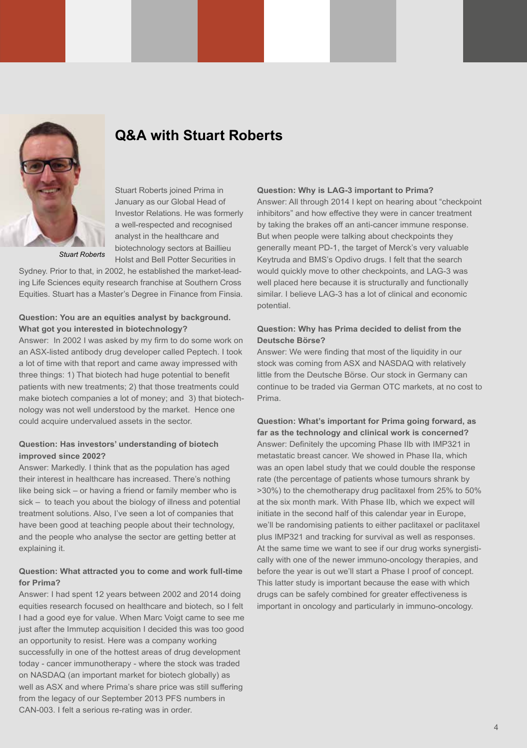

### **Q&A with Stuart Roberts**

Stuart Roberts joined Prima in January as our Global Head of Investor Relations. He was formerly a well-respected and recognised analyst in the healthcare and biotechnology sectors at Baillieu Holst and Bell Potter Securities in

*Stuart Roberts*

Sydney. Prior to that, in 2002, he established the market-leading Life Sciences equity research franchise at Southern Cross Equities. Stuart has a Master's Degree in Finance from Finsia.

### **Question: You are an equities analyst by background. What got you interested in biotechnology?**

Answer: In 2002 I was asked by my firm to do some work on an ASX-listed antibody drug developer called Peptech. I took a lot of time with that report and came away impressed with three things: 1) That biotech had huge potential to benefit patients with new treatments; 2) that those treatments could make biotech companies a lot of money; and 3) that biotechnology was not well understood by the market. Hence one could acquire undervalued assets in the sector.

#### **Question: Has investors' understanding of biotech improved since 2002?**

Answer: Markedly. I think that as the population has aged their interest in healthcare has increased. There's nothing like being sick – or having a friend or family member who is sick – to teach you about the biology of illness and potential treatment solutions. Also, I've seen a lot of companies that have been good at teaching people about their technology, and the people who analyse the sector are getting better at explaining it.

### **Question: What attracted you to come and work full-time for Prima?**

Answer: I had spent 12 years between 2002 and 2014 doing equities research focused on healthcare and biotech, so I felt I had a good eye for value. When Marc Voigt came to see me just after the Immutep acquisition I decided this was too good an opportunity to resist. Here was a company working successfully in one of the hottest areas of drug development today - cancer immunotherapy - where the stock was traded on NASDAQ (an important market for biotech globally) as well as ASX and where Prima's share price was still suffering from the legacy of our September 2013 PFS numbers in CAN-003. I felt a serious re-rating was in order.

#### **Question: Why is LAG-3 important to Prima?**

Answer: All through 2014 I kept on hearing about "checkpoint inhibitors" and how effective they were in cancer treatment by taking the brakes off an anti-cancer immune response. But when people were talking about checkpoints they generally meant PD-1, the target of Merck's very valuable Keytruda and BMS's Opdivo drugs. I felt that the search would quickly move to other checkpoints, and LAG-3 was well placed here because it is structurally and functionally similar. I believe LAG-3 has a lot of clinical and economic potential.

### **Question: Why has Prima decided to delist from the Deutsche Börse?**

Answer: We were finding that most of the liquidity in our stock was coming from ASX and NASDAQ with relatively little from the Deutsche Börse. Our stock in Germany can continue to be traded via German OTC markets, at no cost to Prima.

**Question: What's important for Prima going forward, as far as the technology and clinical work is concerned?** Answer: Definitely the upcoming Phase IIb with IMP321 in metastatic breast cancer. We showed in Phase IIa, which was an open label study that we could double the response rate (the percentage of patients whose tumours shrank by >30%) to the chemotherapy drug paclitaxel from 25% to 50% at the six month mark. With Phase IIb, which we expect will initiate in the second half of this calendar year in Europe, we'll be randomising patients to either paclitaxel or paclitaxel plus IMP321 and tracking for survival as well as responses. At the same time we want to see if our drug works synergistically with one of the newer immuno-oncology therapies, and before the year is out we'll start a Phase I proof of concept. This latter study is important because the ease with which drugs can be safely combined for greater effectiveness is important in oncology and particularly in immuno-oncology.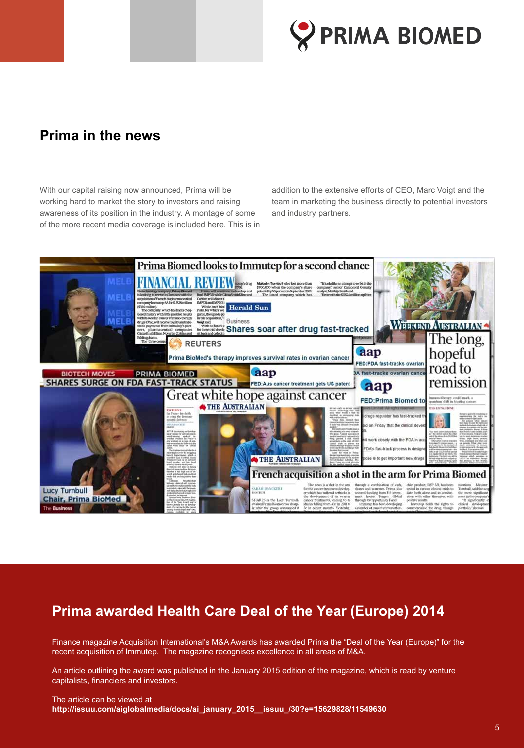

### **Prima in the news**

With our capital raising now announced, Prima will be working hard to market the story to investors and raising awareness of its position in the industry. A montage of some of the more recent media coverage is included here. This is in

addition to the extensive efforts of CEO, Marc Voigt and the team in marketing the business directly to potential investors and industry partners.



# **Prima awarded Health Care Deal of the Year (Europe) 2014**

Finance magazine Acquisition International's M&A Awards has awarded Prima the "Deal of the Year (Europe)" for the recent acquisition of Immutep. The magazine recognises excellence in all areas of M&A.

An article outlining the award was published in the January 2015 edition of the magazine, which is read by venture capitalists, financiers and investors.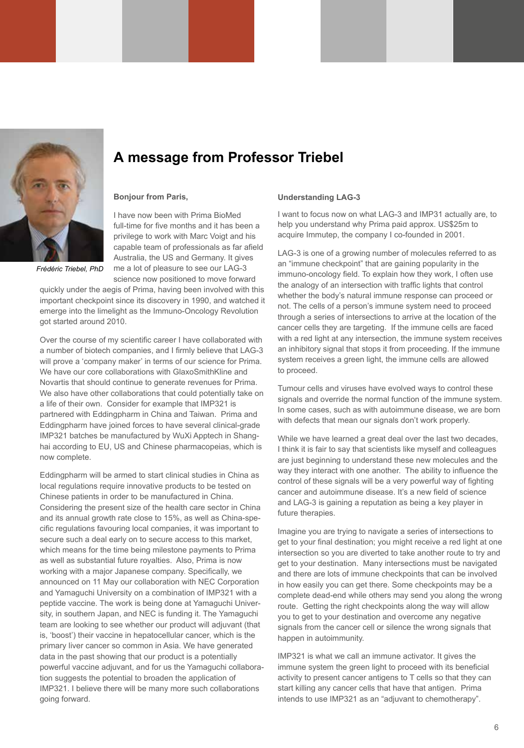

# **A message from Professor Triebel**

#### **Bonjour from Paris,**

I have now been with Prima BioMed full-time for five months and it has been a privilege to work with Marc Voigt and his capable team of professionals as far afield Australia, the US and Germany. It gives me a lot of pleasure to see our LAG-3 science now positioned to move forward

*Frédéric Triebel, PhD*

quickly under the aegis of Prima, having been involved with this important checkpoint since its discovery in 1990, and watched it emerge into the limelight as the Immuno-Oncology Revolution got started around 2010.

Over the course of my scientific career I have collaborated with a number of biotech companies, and I firmly believe that LAG-3 will prove a 'company maker' in terms of our science for Prima. We have our core collaborations with GlaxoSmithKline and Novartis that should continue to generate revenues for Prima. We also have other collaborations that could potentially take on a life of their own. Consider for example that IMP321 is partnered with Eddingpharm in China and Taiwan. Prima and Eddingpharm have joined forces to have several clinical-grade IMP321 batches be manufactured by WuXi Apptech in Shanghai according to EU, US and Chinese pharmacopeias, which is now complete.

Eddingpharm will be armed to start clinical studies in China as local regulations require innovative products to be tested on Chinese patients in order to be manufactured in China. Considering the present size of the health care sector in China and its annual growth rate close to 15%, as well as China-specific regulations favouring local companies, it was important to secure such a deal early on to secure access to this market, which means for the time being milestone payments to Prima as well as substantial future royalties. Also, Prima is now working with a major Japanese company. Specifically, we announced on 11 May our collaboration with NEC Corporation and Yamaguchi University on a combination of IMP321 with a peptide vaccine. The work is being done at Yamaguchi University, in southern Japan, and NEC is funding it. The Yamaguchi team are looking to see whether our product will adjuvant (that is, 'boost') their vaccine in hepatocellular cancer, which is the primary liver cancer so common in Asia. We have generated data in the past showing that our product is a potentially powerful vaccine adjuvant, and for us the Yamaguchi collaboration suggests the potential to broaden the application of IMP321. I believe there will be many more such collaborations going forward.

#### **Understanding LAG-3**

I want to focus now on what LAG-3 and IMP31 actually are, to help you understand why Prima paid approx. US\$25m to acquire Immutep, the company I co-founded in 2001.

LAG-3 is one of a growing number of molecules referred to as an "immune checkpoint" that are gaining popularity in the immuno-oncology field. To explain how they work, I often use the analogy of an intersection with traffic lights that control whether the body's natural immune response can proceed or not. The cells of a person's immune system need to proceed through a series of intersections to arrive at the location of the cancer cells they are targeting. If the immune cells are faced with a red light at any intersection, the immune system receives an inhibitory signal that stops it from proceeding. If the immune system receives a green light, the immune cells are allowed to proceed.

Tumour cells and viruses have evolved ways to control these signals and override the normal function of the immune system. In some cases, such as with autoimmune disease, we are born with defects that mean our signals don't work properly.

While we have learned a great deal over the last two decades, I think it is fair to say that scientists like myself and colleagues are just beginning to understand these new molecules and the way they interact with one another. The ability to influence the control of these signals will be a very powerful way of fighting cancer and autoimmune disease. It's a new field of science and LAG-3 is gaining a reputation as being a key player in future therapies.

Imagine you are trying to navigate a series of intersections to get to your final destination; you might receive a red light at one intersection so you are diverted to take another route to try and get to your destination. Many intersections must be navigated and there are lots of immune checkpoints that can be involved in how easily you can get there. Some checkpoints may be a complete dead-end while others may send you along the wrong route. Getting the right checkpoints along the way will allow you to get to your destination and overcome any negative signals from the cancer cell or silence the wrong signals that happen in autoimmunity.

IMP321 is what we call an immune activator. It gives the immune system the green light to proceed with its beneficial activity to present cancer antigens to T cells so that they can start killing any cancer cells that have that antigen. Prima intends to use IMP321 as an "adjuvant to chemotherapy".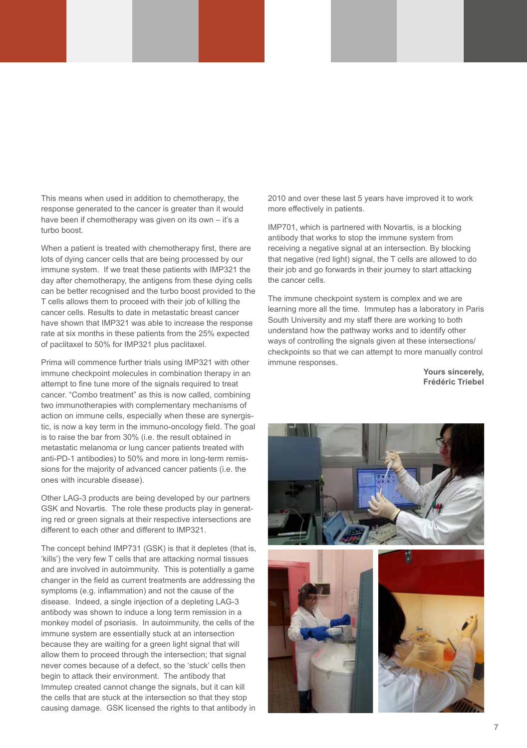This means when used in addition to chemotherapy, the response generated to the cancer is greater than it would have been if chemotherapy was given on its own – it's a turbo boost.

When a patient is treated with chemotherapy first, there are lots of dying cancer cells that are being processed by our immune system. If we treat these patients with IMP321 the day after chemotherapy, the antigens from these dying cells can be better recognised and the turbo boost provided to the T cells allows them to proceed with their job of killing the cancer cells. Results to date in metastatic breast cancer have shown that IMP321 was able to increase the response rate at six months in these patients from the 25% expected of paclitaxel to 50% for IMP321 plus paclitaxel.

Prima will commence further trials using IMP321 with other immune checkpoint molecules in combination therapy in an attempt to fine tune more of the signals required to treat cancer. "Combo treatment" as this is now called, combining two immunotherapies with complementary mechanisms of action on immune cells, especially when these are synergistic, is now a key term in the immuno-oncology field. The goal is to raise the bar from 30% (i.e. the result obtained in metastatic melanoma or lung cancer patients treated with anti-PD-1 antibodies) to 50% and more in long-term remissions for the majority of advanced cancer patients (i.e. the ones with incurable disease).

Other LAG-3 products are being developed by our partners GSK and Novartis. The role these products play in generating red or green signals at their respective intersections are different to each other and different to IMP321.

The concept behind IMP731 (GSK) is that it depletes (that is, 'kills') the very few T cells that are attacking normal tissues and are involved in autoimmunity. This is potentially a game changer in the field as current treatments are addressing the symptoms (e.g. inflammation) and not the cause of the disease. Indeed, a single injection of a depleting LAG-3 antibody was shown to induce a long term remission in a monkey model of psoriasis. In autoimmunity, the cells of the immune system are essentially stuck at an intersection because they are waiting for a green light signal that will allow them to proceed through the intersection; that signal never comes because of a defect, so the 'stuck' cells then begin to attack their environment. The antibody that Immutep created cannot change the signals, but it can kill the cells that are stuck at the intersection so that they stop causing damage. GSK licensed the rights to that antibody in

2010 and over these last 5 years have improved it to work more effectively in patients.

IMP701, which is partnered with Novartis, is a blocking antibody that works to stop the immune system from receiving a negative signal at an intersection. By blocking that negative (red light) signal, the T cells are allowed to do their job and go forwards in their journey to start attacking the cancer cells.

The immune checkpoint system is complex and we are learning more all the time. Immutep has a laboratory in Paris South University and my staff there are working to both understand how the pathway works and to identify other ways of controlling the signals given at these intersections/ checkpoints so that we can attempt to more manually control immune responses.

> **Yours sincerely, Frédéric Triebel**